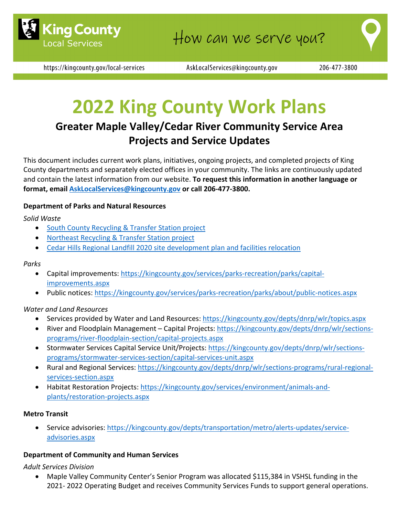

https://kingcounty.gov/local-services

AskLocalServices@kingcounty.gov

# **2022 King County Work Plans**

# **Greater Maple Valley/Cedar River Community Service Area Projects and Service Updates**

This document includes current work plans, initiatives, ongoing projects, and completed projects of King County departments and separately elected offices in your community. The links are continuously updated and contain the latest information from our website. **To request this information in another language or format, email [AskLocalServices@kingcounty.gov](mailto:AskLocalServices@kingcounty.gov) or call 206-477-3800.**

# **Department of Parks and Natural Resources**

#### *Solid Waste*

- [South County Recycling & Transfer Station project](https://kingcounty.gov/depts/dnrp/solid-waste/facilities/south-county.aspx)
- [Northeast Recycling & Transfer Station project](https://kingcounty.gov/depts/dnrp/solid-waste/facilities/northeast.aspx)
- [Cedar Hills Regional Landfill 2020 site development plan and facilities relocation](https://kingcounty.gov/depts/dnrp/solid-waste/facilities/landfills/cedar-hills-development.aspx)

#### *Parks*

- Capital improvements: [https://kingcounty.gov/services/parks-recreation/parks/capital](https://kingcounty.gov/services/parks-recreation/parks/capital-improvements.aspx)[improvements.aspx](https://kingcounty.gov/services/parks-recreation/parks/capital-improvements.aspx)
- Public notices:<https://kingcounty.gov/services/parks-recreation/parks/about/public-notices.aspx>

#### *Water and Land Resources*

- Services provided by Water and Land Resources:<https://kingcounty.gov/depts/dnrp/wlr/topics.aspx>
- River and Floodplain Management Capital Projects: [https://kingcounty.gov/depts/dnrp/wlr/sections](https://kingcounty.gov/depts/dnrp/wlr/sections-programs/river-floodplain-section/capital-projects.aspx)[programs/river-floodplain-section/capital-projects.aspx](https://kingcounty.gov/depts/dnrp/wlr/sections-programs/river-floodplain-section/capital-projects.aspx)
- Stormwater Services Capital Service Unit/Projects: [https://kingcounty.gov/depts/dnrp/wlr/sections](https://kingcounty.gov/depts/dnrp/wlr/sections-programs/stormwater-services-section/capital-services-unit.aspx)[programs/stormwater-services-section/capital-services-unit.aspx](https://kingcounty.gov/depts/dnrp/wlr/sections-programs/stormwater-services-section/capital-services-unit.aspx)
- Rural and Regional Services: [https://kingcounty.gov/depts/dnrp/wlr/sections-programs/rural-regional](https://kingcounty.gov/depts/dnrp/wlr/sections-programs/rural-regional-services-section.aspx)[services-section.aspx](https://kingcounty.gov/depts/dnrp/wlr/sections-programs/rural-regional-services-section.aspx)
- Habitat Restoration Projects: [https://kingcounty.gov/services/environment/animals-and](https://kingcounty.gov/services/environment/animals-and-plants/restoration-projects.aspx)[plants/restoration-projects.aspx](https://kingcounty.gov/services/environment/animals-and-plants/restoration-projects.aspx)

#### **Metro Transit**

• Service advisories: [https://kingcounty.gov/depts/transportation/metro/alerts-updates/service](https://kingcounty.gov/depts/transportation/metro/alerts-updates/service-advisories.aspx)[advisories.aspx](https://kingcounty.gov/depts/transportation/metro/alerts-updates/service-advisories.aspx)

#### **Department of Community and Human Services**

*Adult Services Division*

• Maple Valley Community Center's Senior Program was allocated \$115,384 in VSHSL funding in the 2021- 2022 Operating Budget and receives Community Services Funds to support general operations.